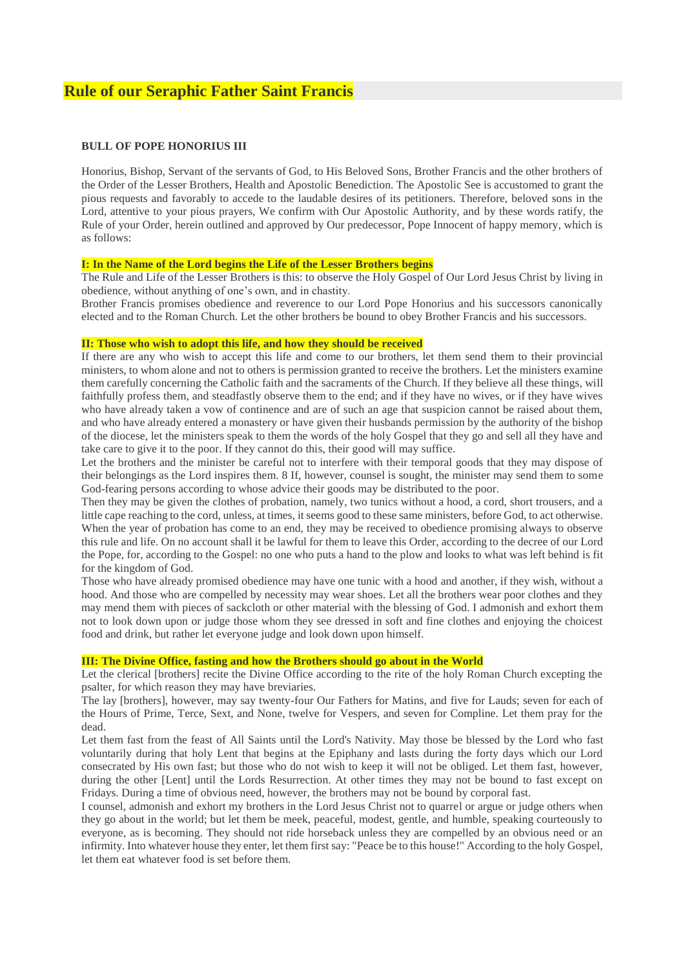# **Rule of our Seraphic Father Saint Francis**

## **BULL OF POPE HONORIUS III**

Honorius, Bishop, Servant of the servants of God, to His Beloved Sons, Brother Francis and the other brothers of the Order of the Lesser Brothers, Health and Apostolic Benediction. The Apostolic See is accustomed to grant the pious requests and favorably to accede to the laudable desires of its petitioners. Therefore, beloved sons in the Lord, attentive to your pious prayers, We confirm with Our Apostolic Authority, and by these words ratify, the Rule of your Order, herein outlined and approved by Our predecessor, Pope Innocent of happy memory, which is as follows:

#### **I: In the Name of the Lord begins the Life of the Lesser Brothers begins**

The Rule and Life of the Lesser Brothers is this: to observe the Holy Gospel of Our Lord Jesus Christ by living in obedience, without anything of one's own, and in chastity.

Brother Francis promises obedience and reverence to our Lord Pope Honorius and his successors canonically elected and to the Roman Church. Let the other brothers be bound to obey Brother Francis and his successors.

### **II: Those who wish to adopt this life, and how they should be received**

If there are any who wish to accept this life and come to our brothers, let them send them to their provincial ministers, to whom alone and not to others is permission granted to receive the brothers. Let the ministers examine them carefully concerning the Catholic faith and the sacraments of the Church. If they believe all these things, will faithfully profess them, and steadfastly observe them to the end; and if they have no wives, or if they have wives who have already taken a vow of continence and are of such an age that suspicion cannot be raised about them, and who have already entered a monastery or have given their husbands permission by the authority of the bishop of the diocese, let the ministers speak to them the words of the holy Gospel that they go and sell all they have and take care to give it to the poor. If they cannot do this, their good will may suffice.

Let the brothers and the minister be careful not to interfere with their temporal goods that they may dispose of their belongings as the Lord inspires them. 8 If, however, counsel is sought, the minister may send them to some God-fearing persons according to whose advice their goods may be distributed to the poor.

Then they may be given the clothes of probation, namely, two tunics without a hood, a cord, short trousers, and a little cape reaching to the cord, unless, at times, it seems good to these same ministers, before God, to act otherwise. When the year of probation has come to an end, they may be received to obedience promising always to observe this rule and life. On no account shall it be lawful for them to leave this Order, according to the decree of our Lord the Pope, for, according to the Gospel: no one who puts a hand to the plow and looks to what was left behind is fit for the kingdom of God.

Those who have already promised obedience may have one tunic with a hood and another, if they wish, without a hood. And those who are compelled by necessity may wear shoes. Let all the brothers wear poor clothes and they may mend them with pieces of sackcloth or other material with the blessing of God. I admonish and exhort them not to look down upon or judge those whom they see dressed in soft and fine clothes and enjoying the choicest food and drink, but rather let everyone judge and look down upon himself.

#### **III: The Divine Office, fasting and how the Brothers should go about in the World**

Let the clerical [brothers] recite the Divine Office according to the rite of the holy Roman Church excepting the psalter, for which reason they may have breviaries.

The lay [brothers], however, may say twenty-four Our Fathers for Matins, and five for Lauds; seven for each of the Hours of Prime, Terce, Sext, and None, twelve for Vespers, and seven for Compline. Let them pray for the dead.

Let them fast from the feast of All Saints until the Lord's Nativity. May those be blessed by the Lord who fast voluntarily during that holy Lent that begins at the Epiphany and lasts during the forty days which our Lord consecrated by His own fast; but those who do not wish to keep it will not be obliged. Let them fast, however, during the other [Lent] until the Lords Resurrection. At other times they may not be bound to fast except on Fridays. During a time of obvious need, however, the brothers may not be bound by corporal fast.

I counsel, admonish and exhort my brothers in the Lord Jesus Christ not to quarrel or argue or judge others when they go about in the world; but let them be meek, peaceful, modest, gentle, and humble, speaking courteously to everyone, as is becoming. They should not ride horseback unless they are compelled by an obvious need or an infirmity. Into whatever house they enter, let them first say: "Peace be to this house!" According to the holy Gospel, let them eat whatever food is set before them.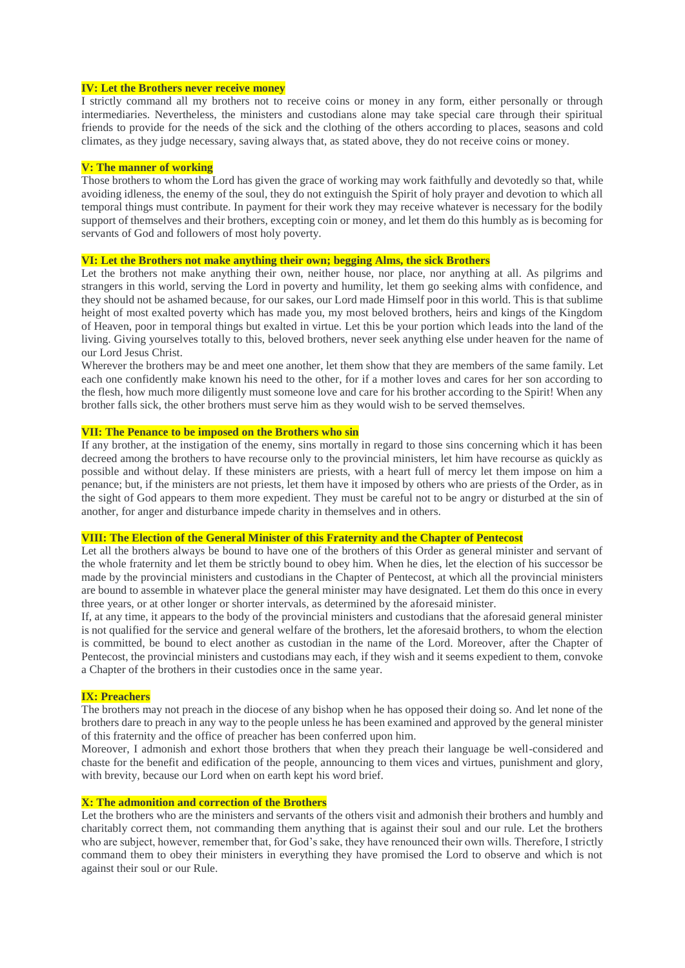## **IV: Let the Brothers never receive money**

I strictly command all my brothers not to receive coins or money in any form, either personally or through intermediaries. Nevertheless, the ministers and custodians alone may take special care through their spiritual friends to provide for the needs of the sick and the clothing of the others according to places, seasons and cold climates, as they judge necessary, saving always that, as stated above, they do not receive coins or money.

#### **V: The manner of working**

Those brothers to whom the Lord has given the grace of working may work faithfully and devotedly so that, while avoiding idleness, the enemy of the soul, they do not extinguish the Spirit of holy prayer and devotion to which all temporal things must contribute. In payment for their work they may receive whatever is necessary for the bodily support of themselves and their brothers, excepting coin or money, and let them do this humbly as is becoming for servants of God and followers of most holy poverty.

# **VI: Let the Brothers not make anything their own; begging Alms, the sick Brothers**

Let the brothers not make anything their own, neither house, nor place, nor anything at all. As pilgrims and strangers in this world, serving the Lord in poverty and humility, let them go seeking alms with confidence, and they should not be ashamed because, for our sakes, our Lord made Himself poor in this world. This is that sublime height of most exalted poverty which has made you, my most beloved brothers, heirs and kings of the Kingdom of Heaven, poor in temporal things but exalted in virtue. Let this be your portion which leads into the land of the living. Giving yourselves totally to this, beloved brothers, never seek anything else under heaven for the name of our Lord Jesus Christ.

Wherever the brothers may be and meet one another, let them show that they are members of the same family. Let each one confidently make known his need to the other, for if a mother loves and cares for her son according to the flesh, how much more diligently must someone love and care for his brother according to the Spirit! When any brother falls sick, the other brothers must serve him as they would wish to be served themselves.

### **VII: The Penance to be imposed on the Brothers who sin**

If any brother, at the instigation of the enemy, sins mortally in regard to those sins concerning which it has been decreed among the brothers to have recourse only to the provincial ministers, let him have recourse as quickly as possible and without delay. If these ministers are priests, with a heart full of mercy let them impose on him a penance; but, if the ministers are not priests, let them have it imposed by others who are priests of the Order, as in the sight of God appears to them more expedient. They must be careful not to be angry or disturbed at the sin of another, for anger and disturbance impede charity in themselves and in others.

# **VIII: The Election of the General Minister of this Fraternity and the Chapter of Pentecost**

Let all the brothers always be bound to have one of the brothers of this Order as general minister and servant of the whole fraternity and let them be strictly bound to obey him. When he dies, let the election of his successor be made by the provincial ministers and custodians in the Chapter of Pentecost, at which all the provincial ministers are bound to assemble in whatever place the general minister may have designated. Let them do this once in every three years, or at other longer or shorter intervals, as determined by the aforesaid minister.

If, at any time, it appears to the body of the provincial ministers and custodians that the aforesaid general minister is not qualified for the service and general welfare of the brothers, let the aforesaid brothers, to whom the election is committed, be bound to elect another as custodian in the name of the Lord. Moreover, after the Chapter of Pentecost, the provincial ministers and custodians may each, if they wish and it seems expedient to them, convoke a Chapter of the brothers in their custodies once in the same year.

#### **IX: Preachers**

The brothers may not preach in the diocese of any bishop when he has opposed their doing so. And let none of the brothers dare to preach in any way to the people unless he has been examined and approved by the general minister of this fraternity and the office of preacher has been conferred upon him.

Moreover, I admonish and exhort those brothers that when they preach their language be well-considered and chaste for the benefit and edification of the people, announcing to them vices and virtues, punishment and glory, with brevity, because our Lord when on earth kept his word brief.

# **X: The admonition and correction of the Brothers**

Let the brothers who are the ministers and servants of the others visit and admonish their brothers and humbly and charitably correct them, not commanding them anything that is against their soul and our rule. Let the brothers who are subject, however, remember that, for God's sake, they have renounced their own wills. Therefore, I strictly command them to obey their ministers in everything they have promised the Lord to observe and which is not against their soul or our Rule.